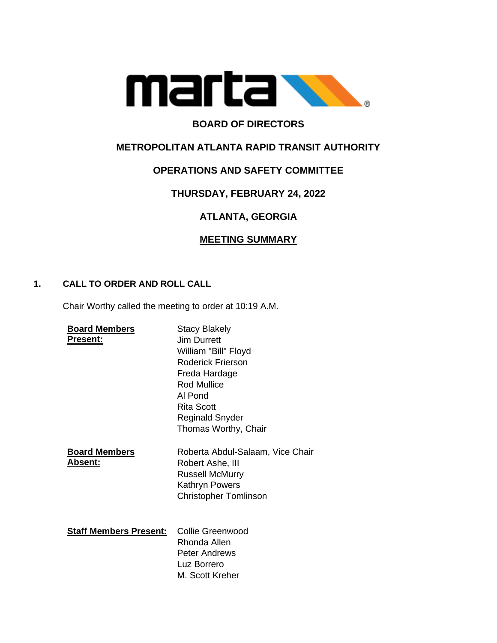

# **BOARD OF DIRECTORS**

# **METROPOLITAN ATLANTA RAPID TRANSIT AUTHORITY**

## **OPERATIONS AND SAFETY COMMITTEE**

# **THURSDAY, FEBRUARY 24, 2022**

# **ATLANTA, GEORGIA**

## **MEETING SUMMARY**

### **1. CALL TO ORDER AND ROLL CALL**

Chair Worthy called the meeting to order at 10:19 A.M.

| <b>Board Members</b><br><b>Present:</b> | <b>Stacy Blakely</b><br>Jim Durrett<br>William "Bill" Floyd<br>Roderick Frierson<br>Freda Hardage<br><b>Rod Mullice</b><br>Al Pond<br><b>Rita Scott</b><br><b>Reginald Snyder</b><br>Thomas Worthy, Chair |
|-----------------------------------------|-----------------------------------------------------------------------------------------------------------------------------------------------------------------------------------------------------------|
| <b>Board Members</b><br>Absent:         | Roberta Abdul-Salaam, Vice Chair<br>Robert Ashe, III<br><b>Russell McMurry</b><br>Kathryn Powers<br><b>Christopher Tomlinson</b>                                                                          |
| <b>Staff Members Present:</b>           | <b>Collie Greenwood</b><br>Rhonda Allen<br><b>Peter Andrews</b><br>Luz Borrero<br>M. Scott Kreher                                                                                                         |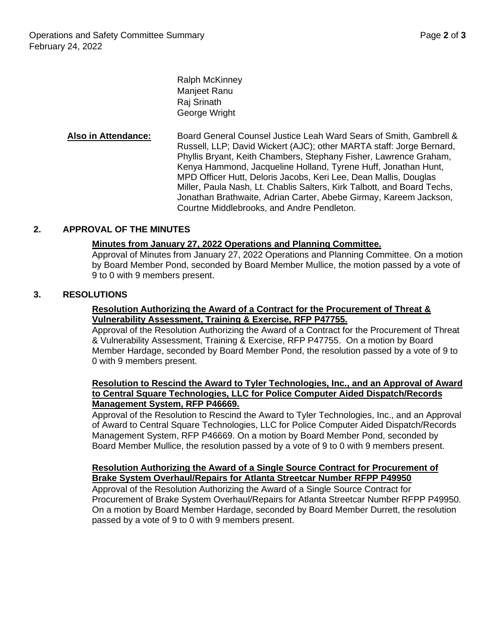Ralph McKinney Manjeet Ranu Raj Srinath George Wright

**Also in Attendance:** Board General Counsel Justice Leah Ward Sears of Smith, Gambrell & Russell, LLP; David Wickert (AJC); other MARTA staff: Jorge Bernard, Phyllis Bryant, Keith Chambers, Stephany Fisher, Lawrence Graham, Kenya Hammond, Jacqueline Holland, Tyrene Huff, Jonathan Hunt, MPD Officer Hutt, Deloris Jacobs, Keri Lee, Dean Mallis, Douglas Miller, Paula Nash, Lt. Chablis Salters, Kirk Talbott, and Board Techs, Jonathan Brathwaite, Adrian Carter, Abebe Girmay, Kareem Jackson, Courtne Middlebrooks, and Andre Pendleton.

### **2. APPROVAL OF THE MINUTES**

#### **Minutes from January 27, 2022 Operations and Planning Committee.**

Approval of Minutes from January 27, 2022 Operations and Planning Committee. On a motion by Board Member Pond, seconded by Board Member Mullice, the motion passed by a vote of 9 to 0 with 9 members present.

#### **3. RESOLUTIONS**

#### **Resolution Authorizing the Award of a Contract for the Procurement of Threat & Vulnerability Assessment, Training & Exercise, RFP P47755.**

Approval of the Resolution Authorizing the Award of a Contract for the Procurement of Threat & Vulnerability Assessment, Training & Exercise, RFP P47755. On a motion by Board Member Hardage, seconded by Board Member Pond, the resolution passed by a vote of 9 to 0 with 9 members present.

#### **Resolution to Rescind the Award to Tyler Technologies, Inc., and an Approval of Award to Central Square Technologies, LLC for Police Computer Aided Dispatch/Records Management System, RFP P46669.**

Approval of the Resolution to Rescind the Award to Tyler Technologies, Inc., and an Approval of Award to Central Square Technologies, LLC for Police Computer Aided Dispatch/Records Management System, RFP P46669. On a motion by Board Member Pond, seconded by Board Member Mullice, the resolution passed by a vote of 9 to 0 with 9 members present.

#### **Resolution Authorizing the Award of a Single Source Contract for Procurement of Brake System Overhaul/Repairs for Atlanta Streetcar Number RFPP P49950**

Approval of the Resolution Authorizing the Award of a Single Source Contract for Procurement of Brake System Overhaul/Repairs for Atlanta Streetcar Number RFPP P49950. On a motion by Board Member Hardage, seconded by Board Member Durrett, the resolution passed by a vote of 9 to 0 with 9 members present.